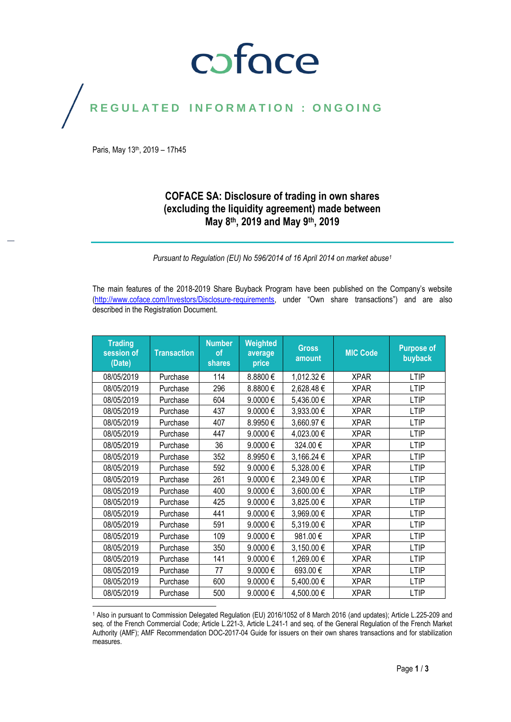## coface

### REGULATED INFORMATION : ONGOING

Paris, May 13th, 2019 – 17h45

### **COFACE SA: Disclosure of trading in own shares (excluding the liquidity agreement) made between May 8th, 2019 and May 9th, 2019**

*Pursuant to Regulation (EU) No 596/2014 of 16 April 2014 on market abuse<sup>1</sup>*

The main features of the 2018-2019 Share Buyback Program have been published on the Company's website [\(http://www.coface.com/Investors/Disclosure-requirements](http://www.coface.com/Investors/Disclosure-requirements), under "Own share transactions") and are also described in the Registration Document.

| <b>Trading</b><br>session of<br>(Date) | <b>Transaction</b> | <b>Number</b><br>of<br>shares | Weighted<br>average<br>price | <b>Gross</b><br>amount | <b>MIC Code</b> | <b>Purpose of</b><br>buyback |
|----------------------------------------|--------------------|-------------------------------|------------------------------|------------------------|-----------------|------------------------------|
| 08/05/2019                             | Purchase           | 114                           | 8.8800€                      | 1,012.32€              | <b>XPAR</b>     | <b>LTIP</b>                  |
| 08/05/2019                             | Purchase           | 296                           | 8.8800€                      | 2,628.48€              | <b>XPAR</b>     | <b>LTIP</b>                  |
| 08/05/2019                             | Purchase           | 604                           | 9.0000€                      | 5,436.00€              | <b>XPAR</b>     | <b>LTIP</b>                  |
| 08/05/2019                             | Purchase           | 437                           | 9.0000€                      | 3,933.00 €             | <b>XPAR</b>     | <b>LTIP</b>                  |
| 08/05/2019                             | Purchase           | 407                           | 8.9950€                      | 3,660.97€              | <b>XPAR</b>     | <b>LTIP</b>                  |
| 08/05/2019                             | Purchase           | 447                           | 9.0000€                      | 4,023.00 €             | <b>XPAR</b>     | <b>LTIP</b>                  |
| 08/05/2019                             | Purchase           | 36                            | 9.0000€                      | 324.00€                | <b>XPAR</b>     | <b>LTIP</b>                  |
| 08/05/2019                             | Purchase           | 352                           | 8.9950€                      | 3,166.24 €             | <b>XPAR</b>     | <b>LTIP</b>                  |
| 08/05/2019                             | Purchase           | 592                           | 9.0000€                      | 5,328.00 €             | <b>XPAR</b>     | <b>LTIP</b>                  |
| 08/05/2019                             | Purchase           | 261                           | 9.0000€                      | 2,349.00€              | <b>XPAR</b>     | <b>LTIP</b>                  |
| 08/05/2019                             | Purchase           | 400                           | 9.0000€                      | 3,600.00€              | <b>XPAR</b>     | <b>LTIP</b>                  |
| 08/05/2019                             | Purchase           | 425                           | $9.0000 \in$                 | 3,825.00 €             | <b>XPAR</b>     | <b>LTIP</b>                  |
| 08/05/2019                             | Purchase           | 441                           | 9.0000€                      | 3,969.00€              | <b>XPAR</b>     | <b>LTIP</b>                  |
| 08/05/2019                             | Purchase           | 591                           | 9.0000€                      | 5,319.00€              | <b>XPAR</b>     | <b>LTIP</b>                  |
| 08/05/2019                             | Purchase           | 109                           | 9.0000€                      | 981.00€                | <b>XPAR</b>     | <b>LTIP</b>                  |
| 08/05/2019                             | Purchase           | 350                           | 9.0000€                      | 3,150.00 €             | <b>XPAR</b>     | <b>LTIP</b>                  |
| 08/05/2019                             | Purchase           | 141                           | 9.0000€                      | 1,269.00€              | <b>XPAR</b>     | <b>LTIP</b>                  |
| 08/05/2019                             | Purchase           | 77                            | 9.0000€                      | 693.00€                | <b>XPAR</b>     | <b>LTIP</b>                  |
| 08/05/2019                             | Purchase           | 600                           | 9.0000€                      | 5,400.00 €             | <b>XPAR</b>     | <b>LTIP</b>                  |
| 08/05/2019                             | Purchase           | 500                           | $9.0000 \in$                 | 4,500.00€              | <b>XPAR</b>     | <b>LTIP</b>                  |

<sup>1</sup> Also in pursuant to Commission Delegated Regulation (EU) 2016/1052 of 8 March 2016 (and updates); Article L.225-209 and seq. of the French Commercial Code; Article L.221-3, Article L.241-1 and seq. of the General Regulation of the French Market Authority (AMF); AMF Recommendation DOC-2017-04 Guide for issuers on their own shares transactions and for stabilization measures.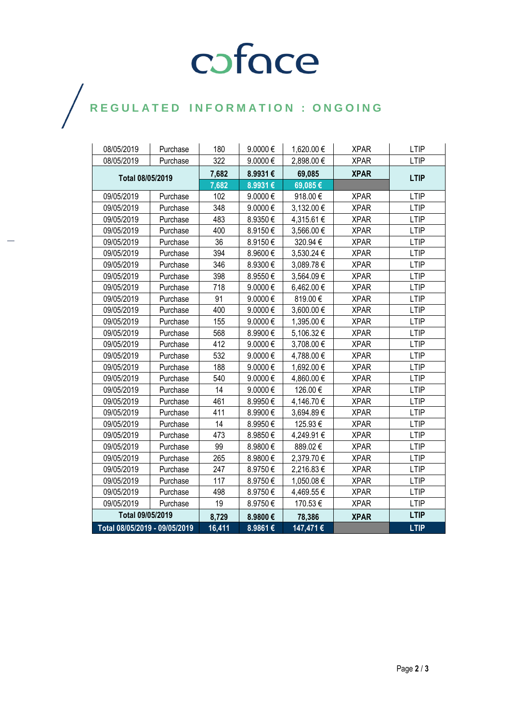# COFOCE

 $\bigg)$ 

| 08/05/2019                    | Purchase | 180    | 9.0000€ | 1,620.00 € | <b>XPAR</b> | <b>LTIP</b> |
|-------------------------------|----------|--------|---------|------------|-------------|-------------|
| 08/05/2019                    | Purchase | 322    | 9.0000€ | 2,898.00€  | <b>XPAR</b> | <b>LTIP</b> |
| Total 08/05/2019              |          | 7,682  | 8.9931€ | 69,085     | <b>XPAR</b> | <b>LTIP</b> |
|                               |          | 7,682  | 8.9931€ | 69,085€    |             |             |
| 09/05/2019                    | Purchase | 102    | 9.0000€ | 918.00€    | <b>XPAR</b> | LTIP        |
| 09/05/2019                    | Purchase | 348    | 9.0000€ | 3,132.00 € | <b>XPAR</b> | <b>LTIP</b> |
| 09/05/2019                    | Purchase | 483    | 8.9350€ | 4,315.61 € | <b>XPAR</b> | <b>LTIP</b> |
| 09/05/2019                    | Purchase | 400    | 8.9150€ | 3,566.00 € | <b>XPAR</b> | <b>LTIP</b> |
| 09/05/2019                    | Purchase | 36     | 8.9150€ | 320.94€    | <b>XPAR</b> | <b>LTIP</b> |
| 09/05/2019                    | Purchase | 394    | 8.9600€ | 3,530.24 € | <b>XPAR</b> | <b>LTIP</b> |
| 09/05/2019                    | Purchase | 346    | 8.9300€ | 3,089.78€  | <b>XPAR</b> | <b>LTIP</b> |
| 09/05/2019                    | Purchase | 398    | 8.9550€ | 3,564.09€  | <b>XPAR</b> | <b>LTIP</b> |
| 09/05/2019                    | Purchase | 718    | 9.0000€ | 6,462.00€  | <b>XPAR</b> | <b>LTIP</b> |
| 09/05/2019                    | Purchase | 91     | 9.0000€ | 819.00€    | <b>XPAR</b> | <b>LTIP</b> |
| 09/05/2019                    | Purchase | 400    | 9.0000€ | 3,600.00 € | <b>XPAR</b> | <b>LTIP</b> |
| 09/05/2019                    | Purchase | 155    | 9.0000€ | 1,395.00€  | <b>XPAR</b> | <b>LTIP</b> |
| 09/05/2019                    | Purchase | 568    | 8.9900€ | 5,106.32€  | <b>XPAR</b> | <b>LTIP</b> |
| 09/05/2019                    | Purchase | 412    | 9.0000€ | 3,708.00 € | <b>XPAR</b> | <b>LTIP</b> |
| 09/05/2019                    | Purchase | 532    | 9.0000€ | 4,788.00€  | <b>XPAR</b> | <b>LTIP</b> |
| 09/05/2019                    | Purchase | 188    | 9.0000€ | 1,692.00 € | <b>XPAR</b> | <b>LTIP</b> |
| 09/05/2019                    | Purchase | 540    | 9.0000€ | 4,860.00€  | <b>XPAR</b> | <b>LTIP</b> |
| 09/05/2019                    | Purchase | 14     | 9.0000€ | 126.00€    | <b>XPAR</b> | <b>LTIP</b> |
| 09/05/2019                    | Purchase | 461    | 8.9950€ | 4,146.70 € | <b>XPAR</b> | <b>LTIP</b> |
| 09/05/2019                    | Purchase | 411    | 8.9900€ | 3,694.89€  | <b>XPAR</b> | <b>LTIP</b> |
| 09/05/2019                    | Purchase | 14     | 8.9950€ | 125.93€    | <b>XPAR</b> | <b>LTIP</b> |
| 09/05/2019                    | Purchase | 473    | 8.9850€ | 4,249.91€  | <b>XPAR</b> | <b>LTIP</b> |
| 09/05/2019                    | Purchase | 99     | 8.9800€ | 889.02€    | <b>XPAR</b> | <b>LTIP</b> |
| 09/05/2019                    | Purchase | 265    | 8.9800€ | 2,379.70€  | <b>XPAR</b> | <b>LTIP</b> |
| 09/05/2019                    | Purchase | 247    | 8.9750€ | 2,216.83€  | <b>XPAR</b> | <b>LTIP</b> |
| 09/05/2019                    | Purchase | 117    | 8.9750€ | 1,050.08€  | <b>XPAR</b> | <b>LTIP</b> |
| 09/05/2019                    | Purchase | 498    | 8.9750€ | 4,469.55€  | <b>XPAR</b> | <b>LTIP</b> |
| 09/05/2019                    | Purchase | 19     | 8.9750€ | 170.53€    | <b>XPAR</b> | <b>LTIP</b> |
| Total 09/05/2019              |          | 8,729  | 8.9800€ | 78,386     | <b>XPAR</b> | <b>LTIP</b> |
| Total 08/05/2019 - 09/05/2019 |          | 16,411 | 8.9861€ | 147,471 €  |             | <b>LTIP</b> |